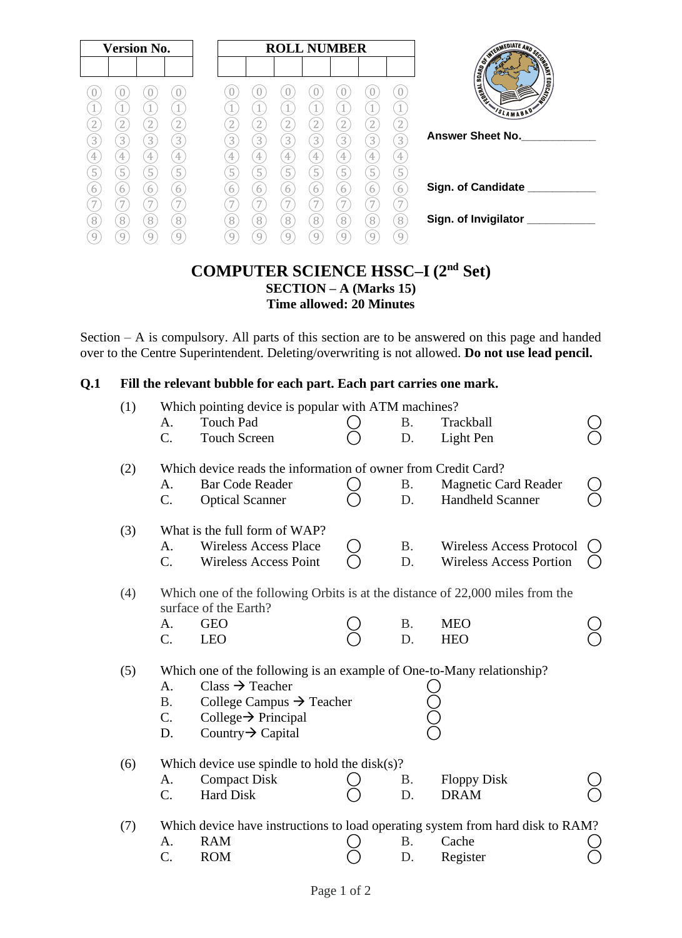### **COMPUTER SCIENCE HSSC–I (2nd Set) SECTION – A (Marks 15) Time allowed: 20 Minutes**

Section – A is compulsory. All parts of this section are to be answered on this page and handed over to the Centre Superintendent. Deleting/overwriting is not allowed. **Do not use lead pencil.**

#### **Q.1 Fill the relevant bubble for each part. Each part carries one mark.**

| (1)<br>Which pointing device is popular with ATM machines? |             |                                                                               |  |           |                                                                                |  |
|------------------------------------------------------------|-------------|-------------------------------------------------------------------------------|--|-----------|--------------------------------------------------------------------------------|--|
|                                                            | A.          | <b>Touch Pad</b>                                                              |  | <b>B.</b> | Trackball                                                                      |  |
|                                                            | $C_{\cdot}$ | <b>Touch Screen</b>                                                           |  | D.        | Light Pen                                                                      |  |
|                                                            |             |                                                                               |  |           |                                                                                |  |
| (2)                                                        |             | Which device reads the information of owner from Credit Card?                 |  |           |                                                                                |  |
|                                                            | A.          | <b>Bar Code Reader</b>                                                        |  | <b>B.</b> | <b>Magnetic Card Reader</b>                                                    |  |
|                                                            | $C_{\cdot}$ |                                                                               |  | D.        | <b>Handheld Scanner</b>                                                        |  |
|                                                            |             | <b>Optical Scanner</b>                                                        |  |           |                                                                                |  |
|                                                            |             |                                                                               |  |           |                                                                                |  |
| (3)                                                        |             | What is the full form of WAP?                                                 |  |           |                                                                                |  |
|                                                            | А.          | <b>Wireless Access Place</b>                                                  |  | <b>B.</b> | Wireless Access Protocol                                                       |  |
|                                                            | $C_{\cdot}$ | <b>Wireless Access Point</b>                                                  |  | D.        | <b>Wireless Access Portion</b>                                                 |  |
|                                                            |             |                                                                               |  |           |                                                                                |  |
| (4)                                                        |             | Which one of the following Orbits is at the distance of 22,000 miles from the |  |           |                                                                                |  |
|                                                            |             | surface of the Earth?                                                         |  |           |                                                                                |  |
|                                                            | A.          | <b>GEO</b>                                                                    |  | <b>B.</b> | <b>MEO</b>                                                                     |  |
|                                                            | $C_{\cdot}$ | <b>LEO</b>                                                                    |  | D.        | <b>HEO</b>                                                                     |  |
|                                                            |             |                                                                               |  |           |                                                                                |  |
| (5)                                                        |             | Which one of the following is an example of One-to-Many relationship?         |  |           |                                                                                |  |
|                                                            | A.          | $Class \rightarrow Teacher$                                                   |  |           |                                                                                |  |
|                                                            | <b>B.</b>   | College Campus $\rightarrow$ Teacher                                          |  |           |                                                                                |  |
|                                                            | $C_{\cdot}$ | College $\rightarrow$ Principal                                               |  |           |                                                                                |  |
|                                                            | D.          | Country $\rightarrow$ Capital                                                 |  |           |                                                                                |  |
|                                                            |             |                                                                               |  |           |                                                                                |  |
| (6)                                                        |             | Which device use spindle to hold the $disk(s)$ ?                              |  |           |                                                                                |  |
|                                                            | A.          | <b>Compact Disk</b>                                                           |  | В.        | <b>Floppy Disk</b>                                                             |  |
|                                                            | $C_{\cdot}$ | <b>Hard Disk</b>                                                              |  | D.        | <b>DRAM</b>                                                                    |  |
|                                                            |             |                                                                               |  |           |                                                                                |  |
| (7)                                                        |             |                                                                               |  |           | Which device have instructions to load operating system from hard disk to RAM? |  |
|                                                            | A.          | <b>RAM</b>                                                                    |  | В.        | Cache                                                                          |  |
|                                                            | $C$ .       | <b>ROM</b>                                                                    |  | D.        | Register                                                                       |  |
|                                                            |             |                                                                               |  |           |                                                                                |  |
|                                                            |             |                                                                               |  |           |                                                                                |  |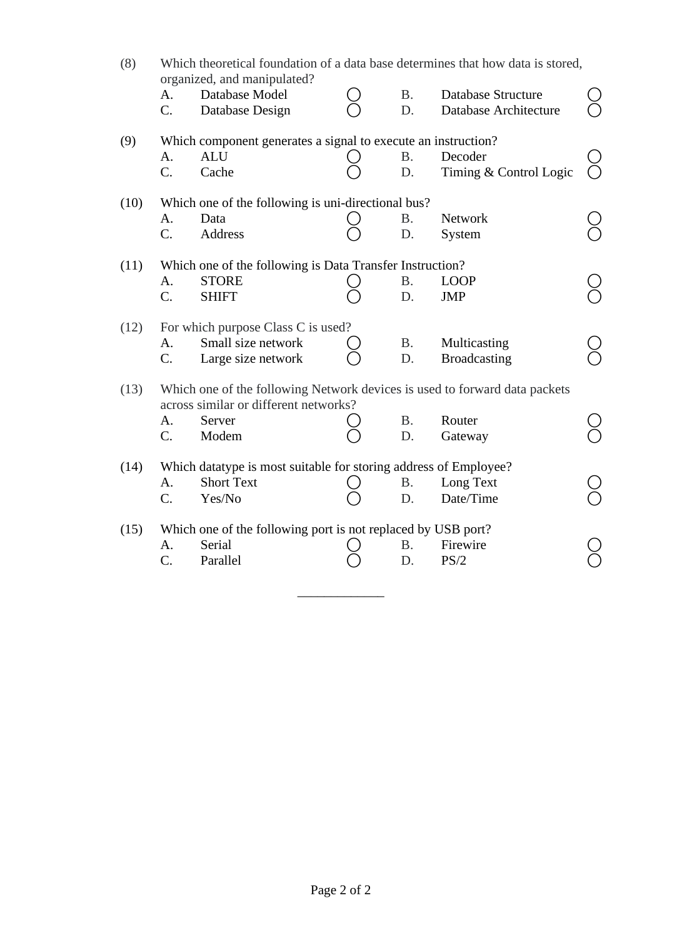| (8)<br>Which theoretical foundation of a data base determines that how data is stored,<br>organized, and manipulated? |                                                                                                                     |                                                                  |  |           |                           |  |  |  |  |  |
|-----------------------------------------------------------------------------------------------------------------------|---------------------------------------------------------------------------------------------------------------------|------------------------------------------------------------------|--|-----------|---------------------------|--|--|--|--|--|
|                                                                                                                       | A.                                                                                                                  | Database Model                                                   |  | Β.        | <b>Database Structure</b> |  |  |  |  |  |
|                                                                                                                       | $C_{\cdot}$                                                                                                         | Database Design                                                  |  | D.        | Database Architecture     |  |  |  |  |  |
| (9)                                                                                                                   |                                                                                                                     | Which component generates a signal to execute an instruction?    |  |           |                           |  |  |  |  |  |
|                                                                                                                       | A.                                                                                                                  | <b>ALU</b>                                                       |  | <b>B.</b> | Decoder                   |  |  |  |  |  |
|                                                                                                                       | $C_{\cdot}$                                                                                                         | Cache                                                            |  | D.        | Timing & Control Logic    |  |  |  |  |  |
| (10)                                                                                                                  |                                                                                                                     | Which one of the following is uni-directional bus?               |  |           |                           |  |  |  |  |  |
|                                                                                                                       | A.                                                                                                                  | Data                                                             |  | Β.        | Network                   |  |  |  |  |  |
|                                                                                                                       | $C_{\cdot}$                                                                                                         | Address                                                          |  | D.        | System                    |  |  |  |  |  |
| (11)                                                                                                                  |                                                                                                                     | Which one of the following is Data Transfer Instruction?         |  |           |                           |  |  |  |  |  |
|                                                                                                                       | A.                                                                                                                  | <b>STORE</b>                                                     |  | Β.        | <b>LOOP</b>               |  |  |  |  |  |
|                                                                                                                       | $C_{\cdot}$                                                                                                         | <b>SHIFT</b>                                                     |  | D.        | <b>JMP</b>                |  |  |  |  |  |
| (12)                                                                                                                  | For which purpose Class C is used?                                                                                  |                                                                  |  |           |                           |  |  |  |  |  |
|                                                                                                                       | A.                                                                                                                  | Small size network                                               |  | <b>B.</b> | Multicasting              |  |  |  |  |  |
|                                                                                                                       | $C_{\cdot}$                                                                                                         | Large size network                                               |  | D.        | <b>Broadcasting</b>       |  |  |  |  |  |
| (13)                                                                                                                  | Which one of the following Network devices is used to forward data packets<br>across similar or different networks? |                                                                  |  |           |                           |  |  |  |  |  |
|                                                                                                                       | A.                                                                                                                  | Server                                                           |  | <b>B.</b> | Router                    |  |  |  |  |  |
|                                                                                                                       | C.                                                                                                                  | Modem                                                            |  | D.        | Gateway                   |  |  |  |  |  |
| (14)                                                                                                                  |                                                                                                                     | Which datatype is most suitable for storing address of Employee? |  |           |                           |  |  |  |  |  |
|                                                                                                                       | A.                                                                                                                  | <b>Short Text</b>                                                |  | Β.        | Long Text                 |  |  |  |  |  |
|                                                                                                                       | $C_{\cdot}$                                                                                                         | Yes/No                                                           |  | D.        | Date/Time                 |  |  |  |  |  |
| (15)                                                                                                                  |                                                                                                                     | Which one of the following port is not replaced by USB port?     |  |           |                           |  |  |  |  |  |
|                                                                                                                       | A.                                                                                                                  | Serial                                                           |  | Β.        | Firewire                  |  |  |  |  |  |
|                                                                                                                       | $C_{\cdot}$                                                                                                         | Parallel                                                         |  | D.        | PS/2                      |  |  |  |  |  |
|                                                                                                                       |                                                                                                                     |                                                                  |  |           |                           |  |  |  |  |  |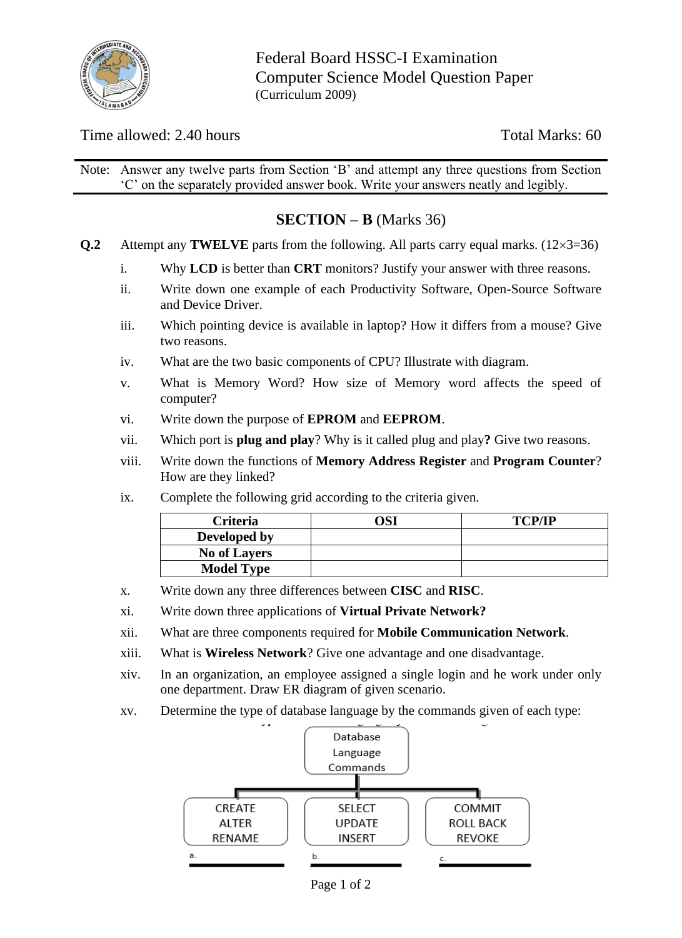

Federal Board HSSC-I Examination Computer Science Model Question Paper (Curriculum 2009)

Time allowed: 2.40 hours Total Marks: 60

Note: Answer any twelve parts from Section 'B' and attempt any three questions from Section 'C' on the separately provided answer book. Write your answers neatly and legibly.

## **SECTION – B** (Marks 36)

- **Q.2** Attempt any **TWELVE** parts from the following. All parts carry equal marks.  $(12 \times 3 = 36)$ 
	- i. Why **LCD** is better than **CRT** monitors? Justify your answer with three reasons.
	- ii. Write down one example of each Productivity Software, Open-Source Software and Device Driver.
	- iii. Which pointing device is available in laptop? How it differs from a mouse? Give two reasons.
	- iv. What are the two basic components of CPU? Illustrate with diagram.
	- v. What is Memory Word? How size of Memory word affects the speed of computer?
	- vi. Write down the purpose of **EPROM** and **EEPROM**.
	- vii. Which port is **plug and play**? Why is it called plug and play**?** Give two reasons.
	- viii. Write down the functions of **Memory Address Register** and **Program Counter**? How are they linked?
	- ix. Complete the following grid according to the criteria given.

| <b>Criteria</b>     | )SI | <b>TCP/IP</b> |
|---------------------|-----|---------------|
| Developed by        |     |               |
| <b>No of Layers</b> |     |               |
| <b>Model Type</b>   |     |               |

- x. Write down any three differences between **CISC** and **RISC**.
- xi. Write down three applications of **Virtual Private Network?**
- xii. What are three components required for **Mobile Communication Network**.
- xiii. What is **Wireless Network**? Give one advantage and one disadvantage.
- xiv. In an organization, an employee assigned a single login and he work under only one department. Draw ER diagram of given scenario.
- xv. Determine the type of database language by the commands given of each type:



Page 1 of 2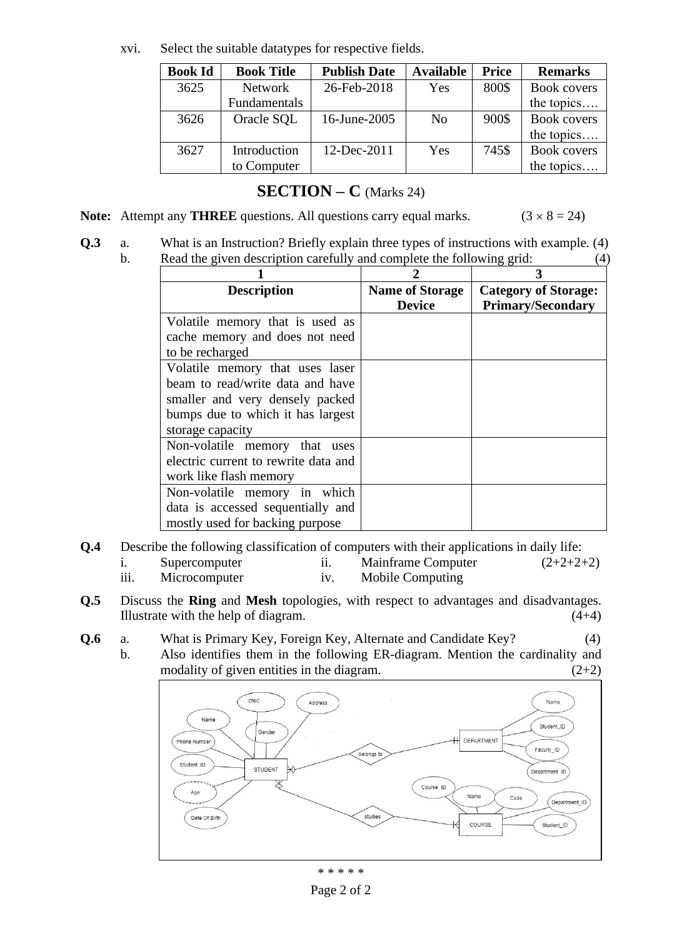xvi. Select the suitable datatypes for respective fields.

| <b>Book Id</b> | <b>Book Title</b> | <b>Publish Date</b> | <b>Available</b> | <b>Price</b> | <b>Remarks</b>     |
|----------------|-------------------|---------------------|------------------|--------------|--------------------|
| 3625           | <b>Network</b>    | 26-Feb-2018         | Yes              | 800\$        | <b>Book covers</b> |
|                | Fundamentals      |                     |                  |              | the topics         |
| 3626           | Oracle SQL        | 16-June-2005        | N <sub>0</sub>   | 900\$        | <b>Book covers</b> |
|                |                   |                     |                  |              | the topics         |
| 3627           | Introduction      | 12-Dec-2011         | Yes              | 745\$        | <b>Book covers</b> |
|                | to Computer       |                     |                  |              | the topics         |

### **SECTION – C** (Marks 24)

**Note:** Attempt any **THREE** questions. All questions carry equal marks.  $(3 \times 8 = 24)$ 

**Q.3** a. What is an Instruction? Briefly explain three types of instructions with example. (4) b. Read the given description carefully and complete the following grid: (4)

| <b>Description</b>                   | <b>Name of Storage</b> | <b>Category of Storage:</b> |
|--------------------------------------|------------------------|-----------------------------|
|                                      | <b>Device</b>          | <b>Primary/Secondary</b>    |
| Volatile memory that is used as      |                        |                             |
| cache memory and does not need       |                        |                             |
| to be recharged                      |                        |                             |
| Volatile memory that uses laser      |                        |                             |
| beam to read/write data and have     |                        |                             |
| smaller and very densely packed      |                        |                             |
| bumps due to which it has largest    |                        |                             |
| storage capacity                     |                        |                             |
| Non-volatile memory that uses        |                        |                             |
| electric current to rewrite data and |                        |                             |
| work like flash memory               |                        |                             |
| Non-volatile memory in which         |                        |                             |
| data is accessed sequentially and    |                        |                             |
| mostly used for backing purpose      |                        |                             |

- **Q.4** Describe the following classification of computers with their applications in daily life: i. Supercomputer ii. Mainframe Computer (2+2+2+2)
	- iii. Microcomputer iv. Mobile Computing
- **Q.5** Discuss the **Ring** and **Mesh** topologies, with respect to advantages and disadvantages. Illustrate with the help of diagram.  $(4+4)$
- **Q.6** a. What is Primary Key, Foreign Key, Alternate and Candidate Key? (4)
	- b. Also identifies them in the following ER-diagram. Mention the cardinality and modality of given entities in the diagram.  $(2+2)$



\* \* \* \* \*

Page 2 of 2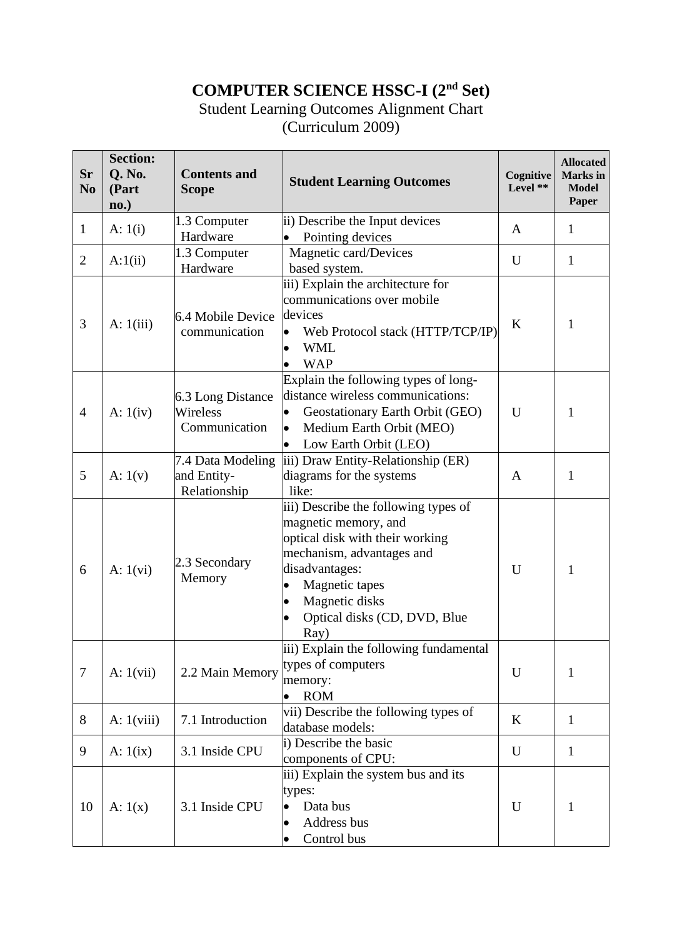# **COMPUTER SCIENCE HSSC-I (2nd Set)**

### Student Learning Outcomes Alignment Chart (Curriculum 2009)

| Sr<br>N <sub>o</sub> | <b>Section:</b><br>Q. No.<br>(Part<br>$\mathbf{no.}$ | <b>Contents and</b><br><b>Scope</b>              | <b>Student Learning Outcomes</b>                                                                                                                                                                                           | Cognitive<br>Level ** | <b>Allocated</b><br><b>Marks</b> in<br><b>Model</b><br>Paper |
|----------------------|------------------------------------------------------|--------------------------------------------------|----------------------------------------------------------------------------------------------------------------------------------------------------------------------------------------------------------------------------|-----------------------|--------------------------------------------------------------|
| $\mathbf{1}$         | A: $1(i)$                                            | 1.3 Computer<br>Hardware                         | ii) Describe the Input devices<br>Pointing devices                                                                                                                                                                         | $\mathbf{A}$          | $\mathbf{1}$                                                 |
| $\overline{2}$       | A:1(ii)                                              | 1.3 Computer<br>Hardware                         | Magnetic card/Devices<br>based system.                                                                                                                                                                                     | U                     | $\mathbf{1}$                                                 |
| 3                    | A: $1(iii)$                                          | 6.4 Mobile Device<br>communication               | iii) Explain the architecture for<br>communications over mobile<br>devices<br>Web Protocol stack (HTTP/TCP/IP)<br><b>WML</b><br><b>WAP</b>                                                                                 | $\bf K$               | 1                                                            |
| $\overline{4}$       | A: $1(iv)$                                           | 6.3 Long Distance<br>Wireless<br>Communication   | Explain the following types of long-<br>distance wireless communications:<br>Geostationary Earth Orbit (GEO)<br>Medium Earth Orbit (MEO)<br>Low Earth Orbit (LEO)                                                          | U                     | 1                                                            |
| 5                    | A: $1(v)$                                            | 7.4 Data Modeling<br>and Entity-<br>Relationship | iii) Draw Entity-Relationship (ER)<br>diagrams for the systems<br>like:                                                                                                                                                    | A                     | $\mathbf{1}$                                                 |
| 6                    | A: $1(vi)$                                           | 2.3 Secondary<br>Memory                          | iii) Describe the following types of<br>magnetic memory, and<br>optical disk with their working<br>mechanism, advantages and<br>disadvantages:<br>Magnetic tapes<br>Magnetic disks<br>Optical disks (CD, DVD, Blue<br>Ray) | U                     | 1                                                            |
| $\tau$               | A: $1(vii)$                                          | 2.2 Main Memory                                  | iii) Explain the following fundamental<br>types of computers<br>memory:<br><b>ROM</b><br>$\bullet$                                                                                                                         | U                     | $\mathbf{1}$                                                 |
| 8                    | A: $1(viii)$                                         | 7.1 Introduction                                 | vii) Describe the following types of<br>database models:                                                                                                                                                                   | K                     | $\mathbf{1}$                                                 |
| 9                    | A: $1(ix)$                                           | 3.1 Inside CPU                                   | i) Describe the basic<br>components of CPU:                                                                                                                                                                                | U                     | $\mathbf{1}$                                                 |
| 10                   | A: $1(x)$                                            | 3.1 Inside CPU                                   | iii) Explain the system bus and its<br>types:<br>Data bus<br>$\bullet$<br>Address bus<br>Control bus                                                                                                                       | U                     | $\mathbf{1}$                                                 |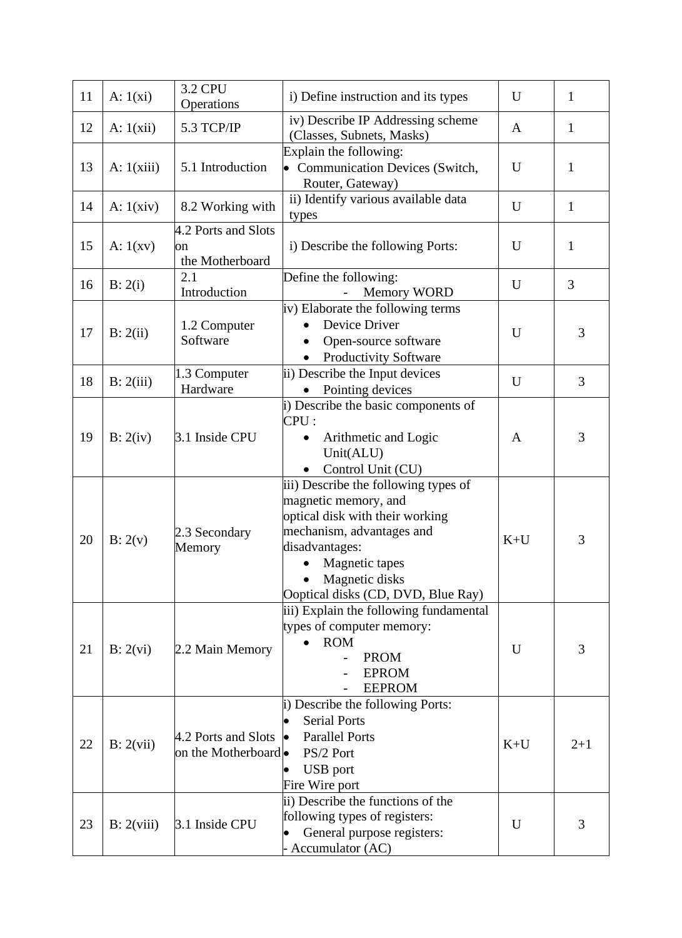| 11 | A: $1(xi)$   | <b>3.2 CPU</b><br>Operations                 | i) Define instruction and its types                                                                                                                                                                                      | U            | $\mathbf{1}$ |
|----|--------------|----------------------------------------------|--------------------------------------------------------------------------------------------------------------------------------------------------------------------------------------------------------------------------|--------------|--------------|
| 12 | A: $1(xii)$  | 5.3 TCP/IP                                   | iv) Describe IP Addressing scheme<br>(Classes, Subnets, Masks)                                                                                                                                                           | $\mathbf{A}$ | $\mathbf{1}$ |
| 13 | A: $1(xiii)$ | 5.1 Introduction                             | Explain the following:<br><b>Communication Devices (Switch,</b><br>Router, Gateway)                                                                                                                                      | U            | $\mathbf{1}$ |
| 14 | A: $1(xiv)$  | 8.2 Working with                             | ii) Identify various available data<br>types                                                                                                                                                                             | U            | $\mathbf{1}$ |
| 15 | A: $1(xv)$   | 4.2 Ports and Slots<br>on<br>the Motherboard | i) Describe the following Ports:                                                                                                                                                                                         | U            | $\mathbf{1}$ |
| 16 | B: 2(i)      | 2.1<br>Introduction                          | Define the following:<br><b>Memory WORD</b>                                                                                                                                                                              | U            | 3            |
| 17 | B: 2(ii)     | 1.2 Computer<br>Software                     | iv) Elaborate the following terms<br>Device Driver<br>Open-source software<br><b>Productivity Software</b>                                                                                                               | U            | 3            |
| 18 | B: 2(iii)    | 1.3 Computer<br>Hardware                     | ii) Describe the Input devices<br>Pointing devices                                                                                                                                                                       | U            | 3            |
| 19 | B: 2(iv)     | 3.1 Inside CPU                               | i) Describe the basic components of<br>CPU:<br>Arithmetic and Logic<br>$\bullet$<br>Unit(ALU)<br>Control Unit (CU)                                                                                                       | A            | 3            |
| 20 | B: 2(v)      | 2.3 Secondary<br>Memory                      | iii) Describe the following types of<br>magnetic memory, and<br>optical disk with their working<br>mechanism, advantages and<br>disadvantages:<br>Magnetic tapes<br>Magnetic disks<br>Ooptical disks (CD, DVD, Blue Ray) | $K+U$        | 3            |
| 21 | B: 2(vi)     | 2.2 Main Memory                              | iii) Explain the following fundamental<br>types of computer memory:<br><b>ROM</b><br><b>PROM</b><br><b>EPROM</b><br><b>EEPROM</b>                                                                                        | U            | 3            |
| 22 | B: 2(vii)    | 4.2 Ports and Slots<br>on the Motherboard    | i) Describe the following Ports:<br><b>Serial Ports</b><br><b>Parallel Ports</b><br>PS/2 Port<br><b>USB</b> port<br>Fire Wire port                                                                                       | $K+U$        | $2+1$        |
| 23 | B: 2(viii)   | 3.1 Inside CPU                               | ii) Describe the functions of the<br>following types of registers:<br>General purpose registers:<br>Accumulator (AC)                                                                                                     | U            | 3            |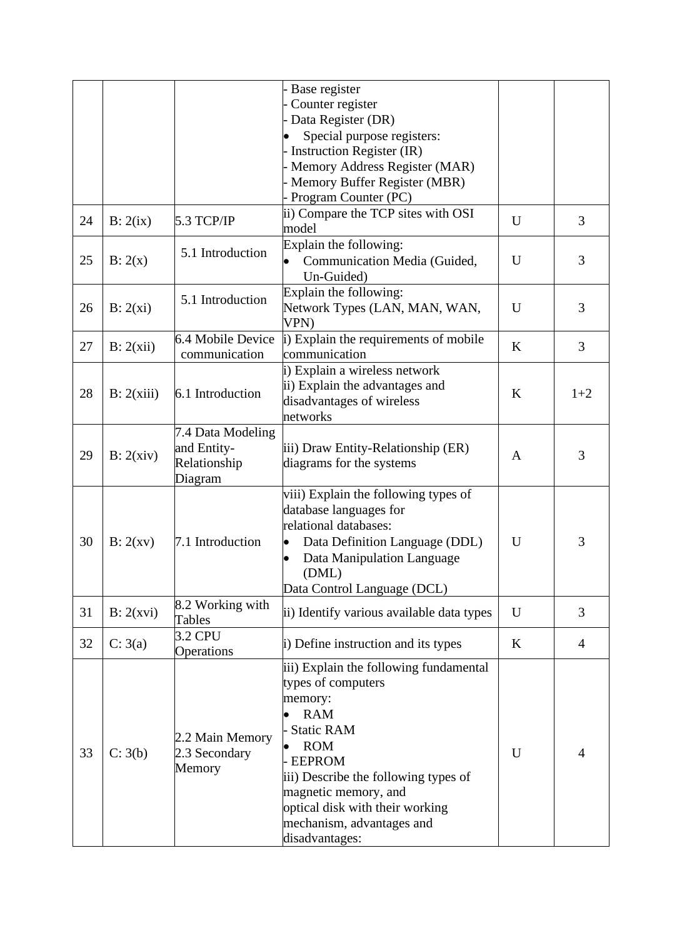|    |            |                   | Base register                               |         |       |
|----|------------|-------------------|---------------------------------------------|---------|-------|
|    |            |                   | Counter register                            |         |       |
|    |            |                   | Data Register (DR)                          |         |       |
|    |            |                   | Special purpose registers:                  |         |       |
|    |            |                   |                                             |         |       |
|    |            |                   | Instruction Register (IR)                   |         |       |
|    |            |                   | Memory Address Register (MAR)               |         |       |
|    |            |                   | Memory Buffer Register (MBR)                |         |       |
|    |            |                   | Program Counter (PC)                        |         |       |
| 24 | B: 2(ix)   | 5.3 TCP/IP        | ii) Compare the TCP sites with OSI<br>model | U       | 3     |
|    |            |                   | Explain the following:                      |         |       |
| 25 | B: 2(x)    | 5.1 Introduction  | Communication Media (Guided,                | U       | 3     |
|    |            |                   | Un-Guided)                                  |         |       |
|    |            |                   | Explain the following:                      |         |       |
| 26 | B: 2(xi)   | 5.1 Introduction  | Network Types (LAN, MAN, WAN,               | U       | 3     |
|    |            |                   | VPN)                                        |         |       |
|    |            | 6.4 Mobile Device | i) Explain the requirements of mobile       |         |       |
| 27 | B: 2(xii)  | communication     | communication                               | $\bf K$ | 3     |
|    |            |                   |                                             |         |       |
|    |            |                   | i) Explain a wireless network               |         |       |
| 28 | B: 2(xiii) | 6.1 Introduction  | ii) Explain the advantages and              | K       | $1+2$ |
|    |            |                   | disadvantages of wireless                   |         |       |
|    |            |                   | networks                                    |         |       |
|    |            | 7.4 Data Modeling |                                             |         |       |
| 29 | B: 2(xiv)  | and Entity-       | iii) Draw Entity-Relationship (ER)          |         | 3     |
|    |            | Relationship      | diagrams for the systems                    | A       |       |
|    |            | Diagram           |                                             |         |       |
|    |            |                   | viii) Explain the following types of        |         |       |
|    |            |                   | database languages for                      |         |       |
|    |            | 7.1 Introduction  | relational databases:                       |         |       |
| 30 | B: 2(xv)   |                   | Data Definition Language (DDL)              | U       | 3     |
|    |            |                   | Data Manipulation Language                  |         |       |
|    |            |                   | (DML)                                       |         |       |
|    |            |                   |                                             |         |       |
|    |            |                   | Data Control Language (DCL)                 |         |       |
| 31 | B: 2(xvi)  | 8.2 Working with  | ii) Identify various available data types   | U       | 3     |
|    |            | Tables            |                                             |         |       |
| 32 | C: 3(a)    | 3.2 CPU           | i) Define instruction and its types         | K       | 4     |
|    |            | Operations        |                                             |         |       |
|    |            |                   | iii) Explain the following fundamental      |         |       |
|    |            |                   | types of computers                          |         |       |
|    |            |                   | memory:                                     |         |       |
|    |            |                   | <b>RAM</b>                                  |         |       |
|    |            |                   | <b>Static RAM</b>                           |         |       |
|    |            | 2.2 Main Memory   | <b>ROM</b>                                  |         |       |
| 33 | C: 3(b)    | 2.3 Secondary     | <b>EEPROM</b>                               | U       | 4     |
|    |            | Memory            | iii) Describe the following types of        |         |       |
|    |            |                   | magnetic memory, and                        |         |       |
|    |            |                   | optical disk with their working             |         |       |
|    |            |                   | mechanism, advantages and                   |         |       |
|    |            |                   |                                             |         |       |
|    |            |                   | disadvantages:                              |         |       |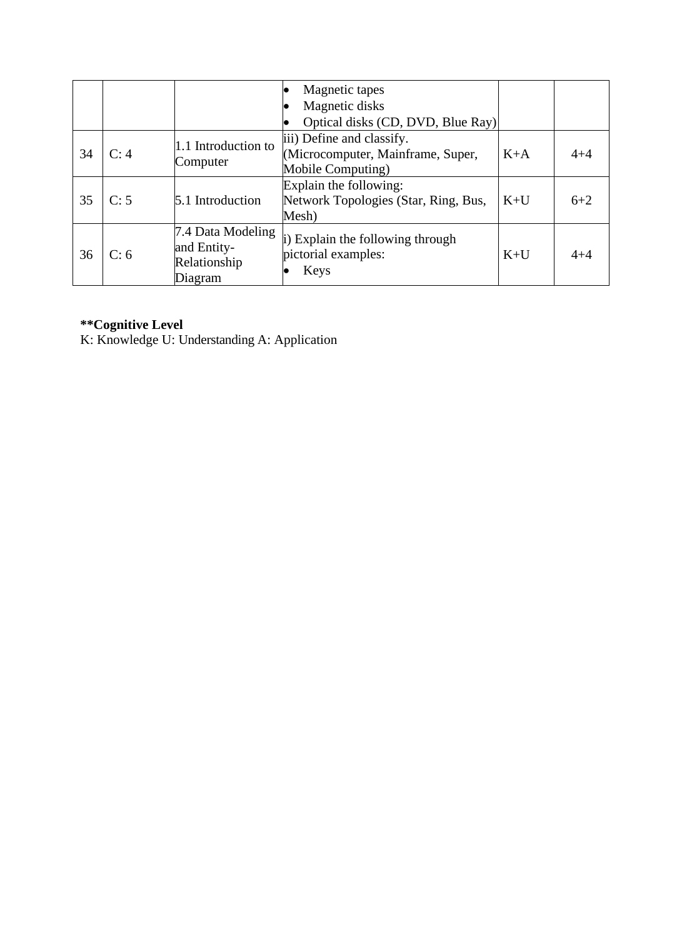|    |      |                                                             | Magnetic tapes<br>Magnetic disks<br>Optical disks (CD, DVD, Blue Ray)               |       |         |
|----|------|-------------------------------------------------------------|-------------------------------------------------------------------------------------|-------|---------|
| 34 | C: 4 | 1.1 Introduction to<br>Computer                             | iii) Define and classify.<br>(Microcomputer, Mainframe, Super,<br>Mobile Computing) | $K+A$ | $4 + 4$ |
| 35 | C: 5 | 5.1 Introduction                                            | Explain the following:<br>Network Topologies (Star, Ring, Bus,<br>Mesh)             | $K+U$ | $6 + 2$ |
| 36 | C: 6 | 7.4 Data Modeling<br>and Entity-<br>Relationship<br>Diagram | i) Explain the following through<br>pictorial examples:<br>Keys                     | $K+U$ | $4 + 4$ |

#### **\*\*Cognitive Level**

K: Knowledge U: Understanding A: Application